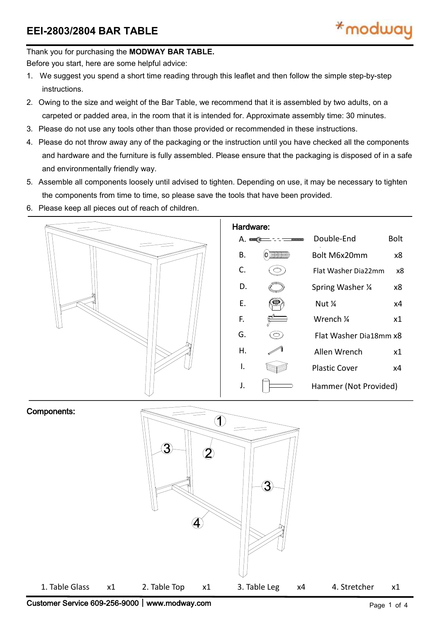#### Thank you for purchasing the **MODWAY BAR TABLE.**

Before you start, here are some helpful advice:

- 1. We suggest you spend a short time reading through this leaflet and then follow the simple step-by-step instructions.
- 2. Owing to the size and weight of the Bar Table, we recommend that it is assembled by two adults, on a carpeted or padded area, in the room that it is intended for. Approximate assembly time: 30 minutes.
- 3. Please do not use any tools other than those provided or recommended in these instructions.
- 4. Please do not throw away any of the packaging or the instruction until you have checked all the components and hardware and the furniture is fully assembled. Please ensure that the packaging is disposed of in a safe and environmentally friendly way.
- 5. Assemble all components loosely until advised to tighten. Depending on use, it may be necessary to tighten the components from time to time, so please save the tools that have been provided.
- 6. Please keep all pieces out of reach of children.



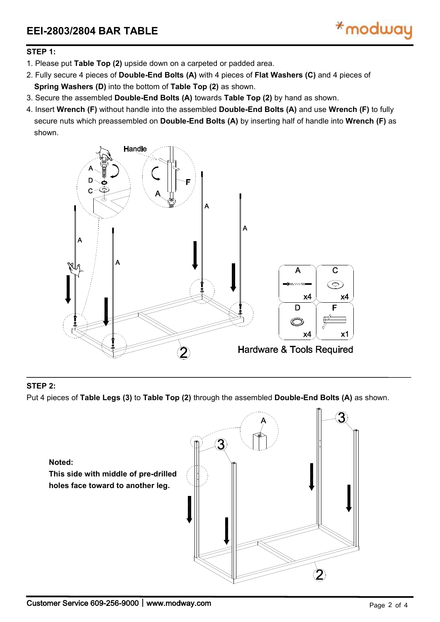

### **STEP 1:**

- 1. Please put **Table Top (2)** upside down on a carpeted or padded area.
- 2. Fully secure 4 pieces of **Double-End Bolts (A)** with 4 pieces of **FlatWashers (C)** and 4 pieces of Spring Washers (D) into the bottom of Table Top (2) as shown.<br>3. Secure the assembled Double-End Bolts (A) towards Table Top (2) by hand as shown.
- 
- 4. Insert **Wrench (F)** without handle into the assembled **Double-End Bolts (A)** and use **Wrench (F)** to fully secure nuts which preassembled on **Double-End Bolts (A)** by inserting half of handle into **Wrench (F)** as shown.



## **STEP 2:**

Put 4 pieces of **Table Legs (3)** to **Table Top (2)** through the assembled **Double-End Bolts (A)** as shown.

**Noted: This side with middle of pre-drilled holes face toward to another leg.**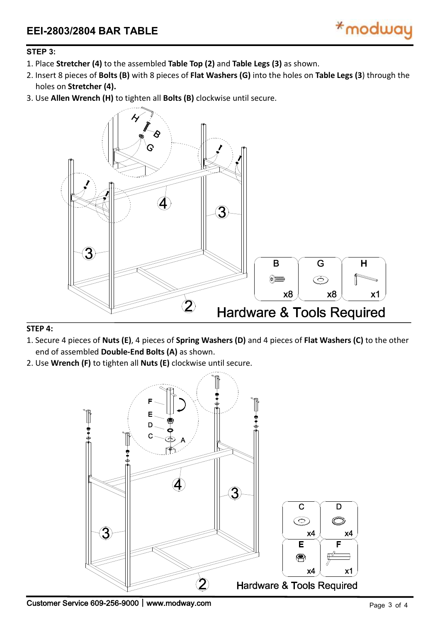

## **STEP 3:**

- 1. Place **Stretcher (4)** to the assembled **Table Top (2)** and **Table Legs(3)** as shown.
- 2. Insert 8 pieces of **Bolts (B)** with 8 pieces of **Flat Washers (G)** into the holes on **Table Legs(3**) through the holes on **Stretcher (4).**
- 3. Use **Allen Wrench (H)** to tighten all **Bolts (B)** clockwise until secure.



#### **STEP 4:**

- 1. Secure 4 pieces of**Nuts (E)**, 4 pieces of**Spring Washers (D)** and 4 pieces of**Flat Washers (C)** to the other end of assembled **Double-End Bolts (A)** as shown.
- 2. Use **Wrench (F)** to tighten all **Nuts (E)** clockwise until secure.